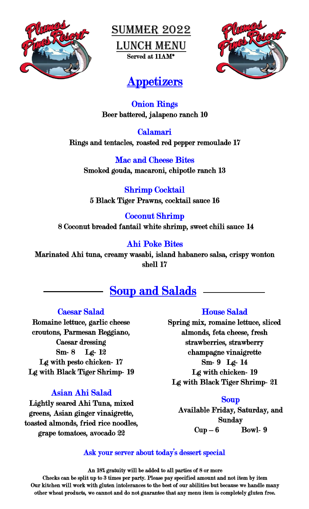

**SUMMER 2022** Lunch Menu Served at 11AM\*



# **Appetizers**

Onion Rings Beer battered, jalapeno ranch 10

Calamari Rings and tentacles, roasted red pepper remoulade 17

Mac and Cheese Bites Smoked gouda, macaroni, chipotle ranch 13

Shrimp Cocktail 5 Black Tiger Prawns, cocktail sauce 16

Coconut Shrimp 8 Coconut breaded fantail white shrimp, sweet chili sauce 14

### Ahi Poke Bites

Marinated Ahi tuna, creamy wasabi, island habanero salsa, crispy wonton shell 17

# Soup and Salads

#### Caesar Salad

Romaine lettuce, garlic cheese croutons, Parmesan Reggiano, Caesar dressing Sm- 8 Lg- 12 Lg with pesto chicken- 17 Lg with Black Tiger Shrimp- 19

## Asian Ahi Salad

Lightly seared Ahi Tuna, mixed greens, Asian ginger vinaigrette, toasted almonds, fried rice noodles, grape tomatoes, avocado 22

#### House Salad

Spring mix, romaine lettuce, sliced almonds, feta cheese, fresh strawberries, strawberry champagne vinaigrette Sm- 9 Lg- 14 Lg with chicken- 19 Lg with Black Tiger Shrimp- 21

#### Soup

Available Friday, Saturday, and Sunday  $Cup-6$  Bowl- 9

#### Ask your server about today's dessert special

An 18% gratuity will be added to all parties of 8 or more

Checks can be split up to 3 times per party. Please pay specified amount and not item by item Our kitchen will work with gluten intolerances to the best of our abilities but because we handle many other wheat products, we cannot and do not guarantee that any menu item is completely gluten free.